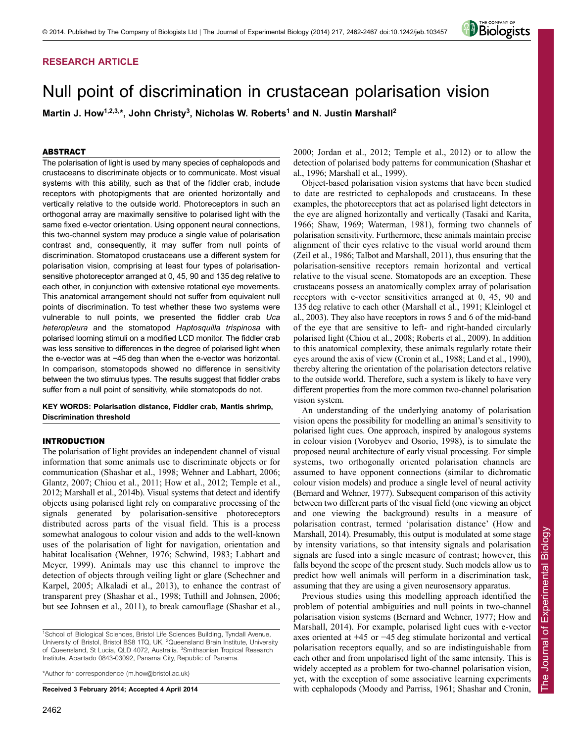## **RESEARCH ARTICLE**

# Null point of discrimination in crustacean polarisation vision

Martin J. How<sup>1,2,3,\*</sup>, John Christy<sup>3</sup>, Nicholas W. Roberts<sup>1</sup> and N. Justin Marshall<sup>2</sup>

## ABSTRACT

The polarisation of light is used by many species of cephalopods and crustaceans to discriminate objects or to communicate. Most visual systems with this ability, such as that of the fiddler crab, include receptors with photopigments that are oriented horizontally and vertically relative to the outside world. Photoreceptors in such an orthogonal array are maximally sensitive to polarised light with the same fixed e-vector orientation. Using opponent neural connections, this two-channel system may produce a single value of polarisation contrast and, consequently, it may suffer from null points of discrimination. Stomatopod crustaceans use a different system for polarisation vision, comprising at least four types of polarisationsensitive photoreceptor arranged at 0, 45, 90 and 135 deg relative to each other, in conjunction with extensive rotational eye movements. This anatomical arrangement should not suffer from equivalent null points of discrimination. To test whether these two systems were vulnerable to null points, we presented the fiddler crab *Uca heteropleura* and the stomatopod *Haptosquilla trispinosa* with polarised looming stimuli on a modified LCD monitor. The fiddler crab was less sensitive to differences in the degree of polarised light when the e-vector was at −45 deg than when the e-vector was horizontal. In comparison, stomatopods showed no difference in sensitivity between the two stimulus types. The results suggest that fiddler crabs suffer from a null point of sensitivity, while stomatopods do not.

**KEY WORDS: Polarisation distance, Fiddler crab, Mantis shrimp, Discrimination threshold**

## INTRODUCTION

The polarisation of light provides an independent channel of visual information that some animals use to discriminate objects or for communication (Shashar et al., 1998; Wehner and Labhart, 2006; Glantz, 2007; Chiou et al., 2011; How et al., 2012; Temple et al., 2012; Marshall et al., 2014b). Visual systems that detect and identify objects using polarised light rely on comparative processing of the signals generated by polarisation-sensitive photoreceptors distributed across parts of the visual field. This is a process somewhat analogous to colour vision and adds to the well-known uses of the polarisation of light for navigation, orientation and habitat localisation (Wehner, 1976; Schwind, 1983; Labhart and Meyer, 1999). Animals may use this channel to improve the detection of objects through veiling light or glare (Schechner and Karpel, 2005; Alkaladi et al., 2013), to enhance the contrast of transparent prey (Shashar et al., 1998; Tuthill and Johnsen, 2006; but see Johnsen et al., 2011), to break camouflage (Shashar et al.,

\*Author for correspondence (m.how@bristol.ac.uk)

**Received 3 February 2014; Accepted 4 April 2014**

2000; Jordan et al., 2012; Temple et al., 2012) or to allow the detection of polarised body patterns for communication (Shashar et al., 1996; Marshall et al., 1999).

Object-based polarisation vision systems that have been studied to date are restricted to cephalopods and crustaceans. In these examples, the photoreceptors that act as polarised light detectors in the eye are aligned horizontally and vertically (Tasaki and Karita, 1966; Shaw, 1969; Waterman, 1981), forming two channels of polarisation sensitivity. Furthermore, these animals maintain precise alignment of their eyes relative to the visual world around them (Zeil et al., 1986; Talbot and Marshall, 2011), thus ensuring that the polarisation-sensitive receptors remain horizontal and vertical relative to the visual scene. Stomatopods are an exception. These crustaceans possess an anatomically complex array of polarisation receptors with e-vector sensitivities arranged at 0, 45, 90 and 135 deg relative to each other (Marshall et al., 1991; Kleinlogel et al., 2003). They also have receptors in rows 5 and 6 of the mid-band of the eye that are sensitive to left- and right-handed circularly polarised light (Chiou et al., 2008; Roberts et al., 2009). In addition to this anatomical complexity, these animals regularly rotate their eyes around the axis of view (Cronin et al., 1988; Land et al., 1990), thereby altering the orientation of the polarisation detectors relative to the outside world. Therefore, such a system is likely to have very different properties from the more common two-channel polarisation vision system.

An understanding of the underlying anatomy of polarisation vision opens the possibility for modelling an animal's sensitivity to polarised light cues. One approach, inspired by analogous systems in colour vision (Vorobyev and Osorio, 1998), is to simulate the proposed neural architecture of early visual processing. For simple systems, two orthogonally oriented polarisation channels are assumed to have opponent connections (similar to dichromatic colour vision models) and produce a single level of neural activity (Bernard and Wehner, 1977). Subsequent comparison of this activity between two different parts of the visual field (one viewing an object and one viewing the background) results in a measure of polarisation contrast, termed 'polarisation distance' (How and Marshall, 2014). Presumably, this output is modulated at some stage by intensity variations, so that intensity signals and polarisation signals are fused into a single measure of contrast; however, this falls beyond the scope of the present study. Such models allow us to predict how well animals will perform in a discrimination task, assuming that they are using a given neurosensory apparatus.

Previous studies using this modelling approach identified the problem of potential ambiguities and null points in two-channel polarisation vision systems (Bernard and Wehner, 1977; How and Marshall, 2014). For example, polarised light cues with e-vector axes oriented at +45 or −45 deg stimulate horizontal and vertical polarisation receptors equally, and so are indistinguishable from each other and from unpolarised light of the same intensity. This is widely accepted as a problem for two-channel polarisation vision, yet, with the exception of some associative learning experiments with cephalopods (Moody and Parriss, 1961; Shashar and Cronin,



<sup>&</sup>lt;sup>1</sup>School of Biological Sciences, Bristol Life Sciences Building, Tyndall Avenue, University of Bristol, Bristol BS8 1TQ, UK. <sup>2</sup>Queensland Brain Institute, University of Queensland, St Lucia, QLD 4072, Australia. <sup>3</sup>Smithsonian Tropical Research Institute, Apartado 0843-03092, Panama City, Republic of Panama.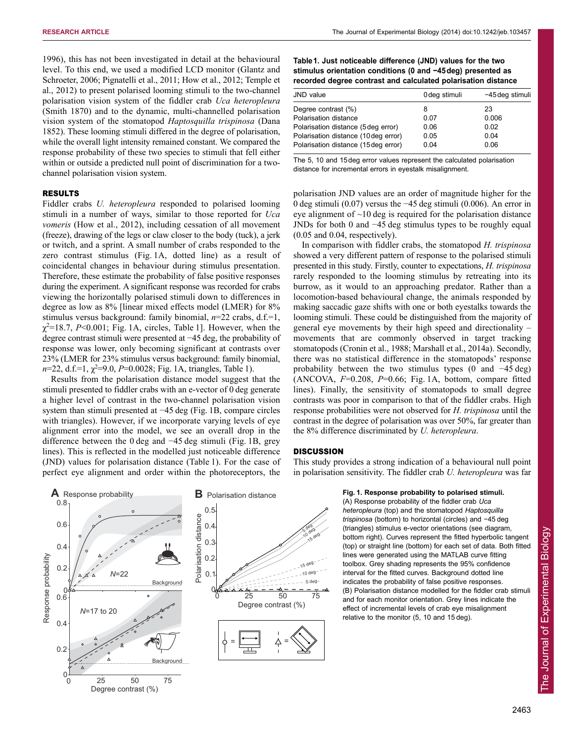1996), this has not been investigated in detail at the behavioural level. To this end, we used a modified LCD monitor (Glantz and Schroeter, 2006; Pignatelli et al., 2011; How et al., 2012; Temple et al., 2012) to present polarised looming stimuli to the two-channel polarisation vision system of the fiddler crab *Uca heteropleura* (Smith 1870) and to the dynamic, multi-channelled polarisation vision system of the stomatopod *Haptosquilla trispinosa* (Dana 1852). These looming stimuli differed in the degree of polarisation, while the overall light intensity remained constant. We compared the response probability of these two species to stimuli that fell either within or outside a predicted null point of discrimination for a twochannel polarisation vision system.

## RESULTS

Fiddler crabs *U. heteropleura* responded to polarised looming stimuli in a number of ways, similar to those reported for *Uca vomeris* (How et al., 2012), including cessation of all movement (freeze), drawing of the legs or claw closer to the body (tuck), a jerk or twitch, and a sprint. A small number of crabs responded to the zero contrast stimulus (Fig. 1A, dotted line) as a result of coincidental changes in behaviour during stimulus presentation. Therefore, these estimate the probability of false positive responses during the experiment. A significant response was recorded for crabs viewing the horizontally polarised stimuli down to differences in degree as low as 8% [linear mixed effects model (LMER) for 8% stimulus versus background: family binomial, *n*=22 crabs, d.f.=1,  $\chi^2$ =18.7, *P*<0.001; Fig. 1A, circles, Table 1]. However, when the degree contrast stimuli were presented at −45 deg, the probability of response was lower, only becoming significant at contrasts over 23% (LMER for 23% stimulus versus background: family binomial,  $n=22$ , d.f.=1,  $\chi^2=9.0$ ,  $P=0.0028$ ; Fig. 1A, triangles, Table 1).

Results from the polarisation distance model suggest that the stimuli presented to fiddler crabs with an e-vector of 0 deg generate a higher level of contrast in the two-channel polarisation vision system than stimuli presented at −45 deg (Fig. 1B, compare circles with triangles). However, if we incorporate varying levels of eye alignment error into the model, we see an overall drop in the difference between the 0 deg and −45 deg stimuli (Fig. 1B, grey lines). This is reflected in the modelled just noticeable difference (JND) values for polarisation distance (Table 1). For the case of perfect eye alignment and order within the photoreceptors, the





| Table 1. Just noticeable difference (JND) values for the two  |
|---------------------------------------------------------------|
| stimulus orientation conditions (0 and -45 deg) presented as  |
| recorded degree contrast and calculated polarisation distance |

| JND value                            | 0 deg stimuli | -45 deg stimuli |
|--------------------------------------|---------------|-----------------|
| Degree contrast (%)                  | 8             | 23              |
| Polarisation distance                | 0.07          | 0.006           |
| Polarisation distance (5 deg error)  | 0.06          | 0.02            |
| Polarisation distance (10 deg error) | 0.05          | 0.04            |
| Polarisation distance (15 deg error) | 0.04          | 0.06            |
|                                      |               |                 |

The 5, 10 and 15deg error values represent the calculated polarisation distance for incremental errors in eyestalk misalignment.

polarisation JND values are an order of magnitude higher for the 0 deg stimuli (0.07) versus the −45 deg stimuli (0.006). An error in eye alignment of  $\sim$ 10 deg is required for the polarisation distance JNDs for both 0 and −45 deg stimulus types to be roughly equal (0.05 and 0.04, respectively).

In comparison with fiddler crabs, the stomatopod *H. trispinosa* showed a very different pattern of response to the polarised stimuli presented in this study. Firstly, counter to expectations, *H. trispinosa* rarely responded to the looming stimulus by retreating into its burrow, as it would to an approaching predator. Rather than a locomotion-based behavioural change, the animals responded by making saccadic gaze shifts with one or both eyestalks towards the looming stimuli. These could be distinguished from the majority of general eye movements by their high speed and directionality – movements that are commonly observed in target tracking stomatopods (Cronin et al., 1988; Marshall et al., 2014a). Secondly, there was no statistical difference in the stomatopods' response probability between the two stimulus types (0 and −45 deg) (ANCOVA, *F*=0.208, *P*=0.66; Fig. 1A, bottom, compare fitted lines). Finally, the sensitivity of stomatopods to small degree contrasts was poor in comparison to that of the fiddler crabs. High response probabilities were not observed for *H. trispinosa* until the contrast in the degree of polarisation was over 50%, far greater than the 8% difference discriminated by *U. heteropleura*.

## **DISCUSSION**

This study provides a strong indication of a behavioural null point in polarisation sensitivity. The fiddler crab *U. heteropleura* was far

**Fig. 1. Response probability to polarised stimuli.**

(A) Response probability of the fiddler crab *Uca heteropleura* (top) and the stomatopod *Haptosquilla trispinosa* (bottom) to horizontal (circles) and −45 deg (triangles) stimulus e-vector orientations (see diagram, bottom right). Curves represent the fitted hyperbolic tangent (top) or straight line (bottom) for each set of data. Both fitted lines were generated using the MATLAB curve fitting toolbox. Grey shading represents the 95% confidence interval for the fitted curves. Background dotted line indicates the probability of false positive responses. (B) Polarisation distance modelled for the fiddler crab stimuli and for each monitor orientation. Grey lines indicate the effect of incremental levels of crab eye misalignment relative to the monitor (5, 10 and 15 deg).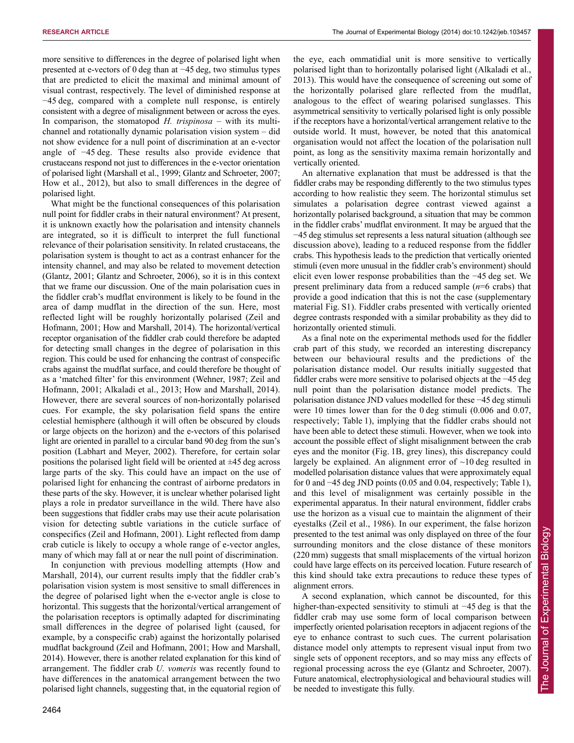more sensitive to differences in the degree of polarised light when presented at e-vectors of 0 deg than at −45 deg, two stimulus types that are predicted to elicit the maximal and minimal amount of visual contrast, respectively. The level of diminished response at −45 deg, compared with a complete null response, is entirely consistent with a degree of misalignment between or across the eyes. In comparison, the stomatopod *H. trispinosa* – with its multichannel and rotationally dynamic polarisation vision system – did not show evidence for a null point of discrimination at an e-vector angle of −45 deg. These results also provide evidence that crustaceans respond not just to differences in the e-vector orientation of polarised light (Marshall et al., 1999; Glantz and Schroeter, 2007; How et al., 2012), but also to small differences in the degree of polarised light.

What might be the functional consequences of this polarisation null point for fiddler crabs in their natural environment? At present, it is unknown exactly how the polarisation and intensity channels are integrated, so it is difficult to interpret the full functional relevance of their polarisation sensitivity. In related crustaceans, the polarisation system is thought to act as a contrast enhancer for the intensity channel, and may also be related to movement detection (Glantz, 2001; Glantz and Schroeter, 2006), so it is in this context that we frame our discussion. One of the main polarisation cues in the fiddler crab's mudflat environment is likely to be found in the area of damp mudflat in the direction of the sun. Here, most reflected light will be roughly horizontally polarised (Zeil and Hofmann, 2001; How and Marshall, 2014). The horizontal/vertical receptor organisation of the fiddler crab could therefore be adapted for detecting small changes in the degree of polarisation in this region. This could be used for enhancing the contrast of conspecific crabs against the mudflat surface, and could therefore be thought of as a 'matched filter' for this environment (Wehner, 1987; Zeil and Hofmann, 2001; Alkaladi et al., 2013; How and Marshall, 2014). However, there are several sources of non-horizontally polarised cues. For example, the sky polarisation field spans the entire celestial hemisphere (although it will often be obscured by clouds or large objects on the horizon) and the e-vectors of this polarised light are oriented in parallel to a circular band 90 deg from the sun's position (Labhart and Meyer, 2002). Therefore, for certain solar positions the polarised light field will be oriented at  $\pm$ 45 deg across large parts of the sky. This could have an impact on the use of polarised light for enhancing the contrast of airborne predators in these parts of the sky. However, it is unclear whether polarised light plays a role in predator surveillance in the wild. There have also been suggestions that fiddler crabs may use their acute polarisation vision for detecting subtle variations in the cuticle surface of conspecifics (Zeil and Hofmann, 2001). Light reflected from damp crab cuticle is likely to occupy a whole range of e-vector angles, many of which may fall at or near the null point of discrimination.

In conjunction with previous modelling attempts (How and Marshall, 2014), our current results imply that the fiddler crab's polarisation vision system is most sensitive to small differences in the degree of polarised light when the e-vector angle is close to horizontal. This suggests that the horizontal/vertical arrangement of the polarisation receptors is optimally adapted for discriminating small differences in the degree of polarised light (caused, for example, by a conspecific crab) against the horizontally polarised mudflat background (Zeil and Hofmann, 2001; How and Marshall, 2014). However, there is another related explanation for this kind of arrangement. The fiddler crab *U. vomeris* was recently found to have differences in the anatomical arrangement between the two polarised light channels, suggesting that, in the equatorial region of the eye, each ommatidial unit is more sensitive to vertically polarised light than to horizontally polarised light (Alkaladi et al., 2013). This would have the consequence of screening out some of the horizontally polarised glare reflected from the mudflat, analogous to the effect of wearing polarised sunglasses. This asymmetrical sensitivity to vertically polarised light is only possible if the receptors have a horizontal/vertical arrangement relative to the outside world. It must, however, be noted that this anatomical organisation would not affect the location of the polarisation null point, as long as the sensitivity maxima remain horizontally and vertically oriented.

An alternative explanation that must be addressed is that the fiddler crabs may be responding differently to the two stimulus types according to how realistic they seem. The horizontal stimulus set simulates a polarisation degree contrast viewed against a horizontally polarised background, a situation that may be common in the fiddler crabs' mudflat environment. It may be argued that the −45 deg stimulus set represents a less natural situation (although see discussion above), leading to a reduced response from the fiddler crabs. This hypothesis leads to the prediction that vertically oriented stimuli (even more unusual in the fiddler crab's environment) should elicit even lower response probabilities than the −45 deg set. We present preliminary data from a reduced sample (*n*=6 crabs) that provide a good indication that this is not the case (supplementary material Fig. S1). Fiddler crabs presented with vertically oriented degree contrasts responded with a similar probability as they did to horizontally oriented stimuli.

As a final note on the experimental methods used for the fiddler crab part of this study, we recorded an interesting discrepancy between our behavioural results and the predictions of the polarisation distance model. Our results initially suggested that fiddler crabs were more sensitive to polarised objects at the −45 deg null point than the polarisation distance model predicts. The polarisation distance JND values modelled for these −45 deg stimuli were 10 times lower than for the 0 deg stimuli (0.006 and 0.07, respectively; Table 1), implying that the fiddler crabs should not have been able to detect these stimuli. However, when we took into account the possible effect of slight misalignment between the crab eyes and the monitor (Fig. 1B, grey lines), this discrepancy could largely be explained. An alignment error of  $\sim$ 10 deg resulted in modelled polarisation distance values that were approximately equal for 0 and −45 deg JND points (0.05 and 0.04, respectively; Table 1), and this level of misalignment was certainly possible in the experimental apparatus. In their natural environment, fiddler crabs use the horizon as a visual cue to maintain the alignment of their eyestalks (Zeil et al., 1986). In our experiment, the false horizon presented to the test animal was only displayed on three of the four surrounding monitors and the close distance of these monitors (220 mm) suggests that small misplacements of the virtual horizon could have large effects on its perceived location. Future research of this kind should take extra precautions to reduce these types of alignment errors.

A second explanation, which cannot be discounted, for this higher-than-expected sensitivity to stimuli at −45 deg is that the fiddler crab may use some form of local comparison between imperfectly oriented polarisation receptors in adjacent regions of the eye to enhance contrast to such cues. The current polarisation distance model only attempts to represent visual input from two single sets of opponent receptors, and so may miss any effects of regional processing across the eye (Glantz and Schroeter, 2007). Future anatomical, electrophysiological and behavioural studies will be needed to investigate this fully.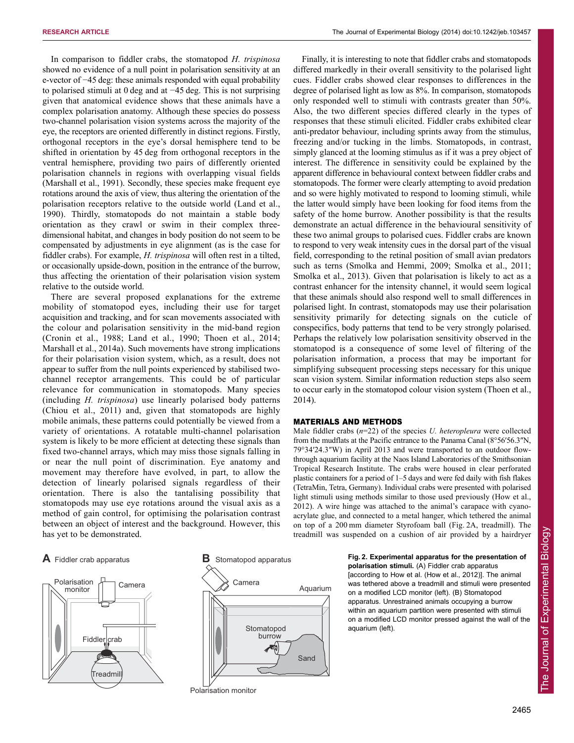In comparison to fiddler crabs, the stomatopod *H. trispinosa* showed no evidence of a null point in polarisation sensitivity at an e-vector of −45 deg: these animals responded with equal probability to polarised stimuli at 0 deg and at −45 deg. This is not surprising given that anatomical evidence shows that these animals have a complex polarisation anatomy. Although these species do possess two-channel polarisation vision systems across the majority of the eye, the receptors are oriented differently in distinct regions. Firstly, orthogonal receptors in the eye's dorsal hemisphere tend to be shifted in orientation by 45 deg from orthogonal receptors in the ventral hemisphere, providing two pairs of differently oriented polarisation channels in regions with overlapping visual fields (Marshall et al., 1991). Secondly, these species make frequent eye rotations around the axis of view, thus altering the orientation of the polarisation receptors relative to the outside world (Land et al., 1990). Thirdly, stomatopods do not maintain a stable body orientation as they crawl or swim in their complex threedimensional habitat, and changes in body position do not seem to be compensated by adjustments in eye alignment (as is the case for fiddler crabs). For example, *H. trispinosa* will often rest in a tilted, or occasionally upside-down, position in the entrance of the burrow, thus affecting the orientation of their polarisation vision system relative to the outside world.

There are several proposed explanations for the extreme mobility of stomatopod eyes, including their use for target acquisition and tracking, and for scan movements associated with the colour and polarisation sensitivity in the mid-band region (Cronin et al., 1988; Land et al., 1990; Thoen et al., 2014; Marshall et al., 2014a). Such movements have strong implications for their polarisation vision system, which, as a result, does not appear to suffer from the null points experienced by stabilised twochannel receptor arrangements. This could be of particular relevance for communication in stomatopods. Many species (including *H. trispinosa*) use linearly polarised body patterns (Chiou et al., 2011) and, given that stomatopods are highly mobile animals, these patterns could potentially be viewed from a variety of orientations. A rotatable multi-channel polarisation system is likely to be more efficient at detecting these signals than fixed two-channel arrays, which may miss those signals falling in or near the null point of discrimination. Eye anatomy and movement may therefore have evolved, in part, to allow the detection of linearly polarised signals regardless of their orientation. There is also the tantalising possibility that stomatopods may use eye rotations around the visual axis as a method of gain control, for optimising the polarisation contrast between an object of interest and the background. However, this has yet to be demonstrated.







Polarisation monitor

Finally, it is interesting to note that fiddler crabs and stomatopods differed markedly in their overall sensitivity to the polarised light cues. Fiddler crabs showed clear responses to differences in the degree of polarised light as low as 8%. In comparison, stomatopods only responded well to stimuli with contrasts greater than 50%. Also, the two different species differed clearly in the types of responses that these stimuli elicited. Fiddler crabs exhibited clear anti-predator behaviour, including sprints away from the stimulus, freezing and/or tucking in the limbs. Stomatopods, in contrast, simply glanced at the looming stimulus as if it was a prey object of interest. The difference in sensitivity could be explained by the apparent difference in behavioural context between fiddler crabs and stomatopods. The former were clearly attempting to avoid predation and so were highly motivated to respond to looming stimuli, while the latter would simply have been looking for food items from the safety of the home burrow. Another possibility is that the results demonstrate an actual difference in the behavioural sensitivity of these two animal groups to polarised cues. Fiddler crabs are known to respond to very weak intensity cues in the dorsal part of the visual field, corresponding to the retinal position of small avian predators such as terns (Smolka and Hemmi, 2009; Smolka et al., 2011; Smolka et al., 2013). Given that polarisation is likely to act as a contrast enhancer for the intensity channel, it would seem logical that these animals should also respond well to small differences in polarised light. In contrast, stomatopods may use their polarisation sensitivity primarily for detecting signals on the cuticle of conspecifics, body patterns that tend to be very strongly polarised. Perhaps the relatively low polarisation sensitivity observed in the stomatopod is a consequence of some level of filtering of the polarisation information, a process that may be important for simplifying subsequent processing steps necessary for this unique scan vision system. Similar information reduction steps also seem to occur early in the stomatopod colour vision system (Thoen et al., 2014).

### MATERIALS AND METHODS

Male fiddler crabs (*n*=22) of the species *U. heteropleura* were collected from the mudflats at the Pacific entrance to the Panama Canal (8°56′56.3″N, 79°34′24.3″W) in April 2013 and were transported to an outdoor flowthrough aquarium facility at the Naos Island Laboratories of the Smithsonian Tropical Research Institute. The crabs were housed in clear perforated plastic containers for a period of 1–5 days and were fed daily with fish flakes (TetraMin, Tetra, Germany). Individual crabs were presented with polarised light stimuli using methods similar to those used previously (How et al., 2012). A wire hinge was attached to the animal's carapace with cyanoacrylate glue, and connected to a metal hanger, which tethered the animal on top of a 200 mm diameter Styrofoam ball (Fig. 2A, treadmill). The treadmill was suspended on a cushion of air provided by a hairdryer

> **Fig. 2. Experimental apparatus for the presentation of polarisation stimuli.** (A) Fiddler crab apparatus [according to How et al. (How et al., 2012)]. The animal was tethered above a treadmill and stimuli were presented on a modified LCD monitor (left). (B) Stomatopod apparatus. Unrestrained animals occupying a burrow within an aquarium partition were presented with stimuli on a modified LCD monitor pressed against the wall of the aquarium (left).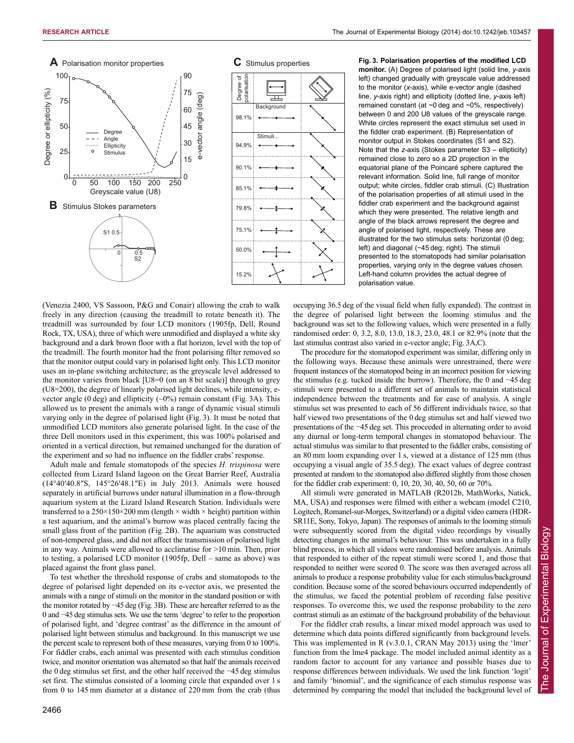**Fig. 3. Polarisation properties of the modified LCD monitor.** (A) Degree of polarised light (solid line, *y*-axis



(Venezia 2400, VS Sassoon, P&G and Conair) allowing the crab to walk freely in any direction (causing the treadmill to rotate beneath it). The treadmill was surrounded by four LCD monitors (1905fp, Dell, Round Rock, TX, USA), three of which were unmodified and displayed a white sky background and a dark brown floor with a flat horizon, level with the top of the treadmill. The fourth monitor had the front polarising filter removed so that the monitor output could vary in polarised light only. This LCD monitor uses an in-plane switching architecture; as the greyscale level addressed to the monitor varies from black [U8=0 (on an 8 bit scale)] through to grey (U8=200), the degree of linearly polarised light declines, while intensity, evector angle (0 deg) and ellipticity  $({\sim}0\%)$  remain constant (Fig. 3A). This allowed us to present the animals with a range of dynamic visual stimuli varying only in the degree of polarised light (Fig. 3). It must be noted that unmodified LCD monitors also generate polarised light. In the case of the three Dell monitors used in this experiment, this was 100% polarised and oriented in a vertical direction, but remained unchanged for the duration of the experiment and so had no influence on the fiddler crabs' response.

Adult male and female stomatopods of the species *H. trispinosa* were collected from Lizard Island lagoon on the Great Barrier Reef, Australia (14°40′40.8″S, 145°26′48.1″E) in July 2013. Animals were housed separately in artificial burrows under natural illumination in a flow-through aquarium system at the Lizard Island Research Station. Individuals were transferred to a  $250 \times 150 \times 200$  mm (length  $\times$  width  $\times$  height) partition within a test aquarium, and the animal's burrow was placed centrally facing the small glass front of the partition (Fig. 2B). The aquarium was constructed of non-tempered glass, and did not affect the transmission of polarised light in any way. Animals were allowed to acclimatise for >10 min. Then, prior to testing, a polarised LCD monitor (1905fp, Dell – same as above) was placed against the front glass panel.

To test whether the threshold response of crabs and stomatopods to the degree of polarised light depended on its e-vector axis, we presented the animals with a range of stimuli on the monitor in the standard position or with the monitor rotated by −45 deg (Fig. 3B). These are hereafter referred to as the 0 and −45 deg stimulus sets. We use the term 'degree' to refer to the proportion of polarised light, and 'degree contrast' as the difference in the amount of polarised light between stimulus and background. In this manuscript we use the percent scale to represent both of these measures, varying from 0 to 100%. For fiddler crabs, each animal was presented with each stimulus condition twice, and monitor orientation was alternated so that half the animals received the 0 deg stimulus set first, and the other half received the −45 deg stimulus set first. The stimulus consisted of a looming circle that expanded over 1 s from 0 to 145 mm diameter at a distance of 220 mm from the crab (thus

left) changed gradually with greyscale value addressed to the monitor (*x*-axis), while e-vector angle (dashed line, *y*-axis right) and ellipticity (dotted line, *y*-axis left) remained constant (at ~0 deg and ~0%, respectively) between 0 and 200 U8 values of the greyscale range. White circles represent the exact stimulus set used in the fiddler crab experiment. (B) Representation of monitor output in Stokes coordinates (S1 and S2). Note that the *z*-axis (Stokes parameter S3 – ellipticity) remained close to zero so a 2D projection in the equatorial plane of the Poincaré sphere captured the relevant information. Solid line, full range of monitor output; white circles, fiddler crab stimuli. (C) Illustration of the polarisation properties of all stimuli used in the fiddler crab experiment and the background against which they were presented. The relative length and angle of the black arrows represent the degree and angle of polarised light, respectively. These are illustrated for the two stimulus sets: horizontal (0 deg; left) and diagonal (−45 deg; right). The stimuli presented to the stomatopods had similar polarisation properties, varying only in the degree values chosen. Left-hand column provides the actual degree of polarisation value.

occupying 36.5 deg of the visual field when fully expanded). The contrast in the degree of polarised light between the looming stimulus and the background was set to the following values, which were presented in a fully randomised order: 0, 3.2, 8.0, 13.0, 18.3, 23.0, 48.1 or 82.9% (note that the last stimulus contrast also varied in e-vector angle; Fig. 3A,C).

The procedure for the stomatopod experiment was similar, differing only in the following ways. Because these animals were unrestrained, there were frequent instances of the stomatopod being in an incorrect position for viewing the stimulus (e.g. tucked inside the burrow). Therefore, the 0 and −45 deg stimuli were presented to a different set of animals to maintain statistical independence between the treatments and for ease of analysis. A single stimulus set was presented to each of 56 different individuals twice, so that half viewed two presentations of the 0 deg stimulus set and half viewed two presentations of the −45 deg set. This proceeded in alternating order to avoid any diurnal or long-term temporal changes in stomatopod behaviour. The actual stimulus was similar to that presented to the fiddler crabs, consisting of an 80 mm loom expanding over 1 s, viewed at a distance of 125 mm (thus occupying a visual angle of 35.5 deg). The exact values of degree contrast presented at random to the stomatopod also differed slightly from those chosen for the fiddler crab experiment: 0, 10, 20, 30, 40, 50, 60 or 70%.

All stimuli were generated in MATLAB (R2012b, MathWorks, Natick, MA, USA) and responses were filmed with either a webcam (model C210, Logitech, Romanel-sur-Morges, Switzerland) or a digital video camera (HDR-SR11E, Sony, Tokyo, Japan). The responses of animals to the looming stimuli were subsequently scored from the digital video recordings by visually detecting changes in the animal's behaviour. This was undertaken in a fully blind process, in which all videos were randomised before analysis. Animals that responded to either of the repeat stimuli were scored 1, and those that responded to neither were scored 0. The score was then averaged across all animals to produce a response probability value for each stimulus/background condition. Because some of the scored behaviours occurred independently of the stimulus, we faced the potential problem of recording false positive responses. To overcome this, we used the response probability to the zero contrast stimuli as an estimate of the background probability of the behaviour.

For the fiddler crab results, a linear mixed model approach was used to determine which data points differed significantly from background levels. This was implemented in R (v.3.0.1, CRAN May 2013) using the 'lmer' function from the lme4 package. The model included animal identity as a random factor to account for any variance and possible biases due to response differences between individuals. We used the link function 'logit' and family 'binomial', and the significance of each stimulus response was determined by comparing the model that included the background level of